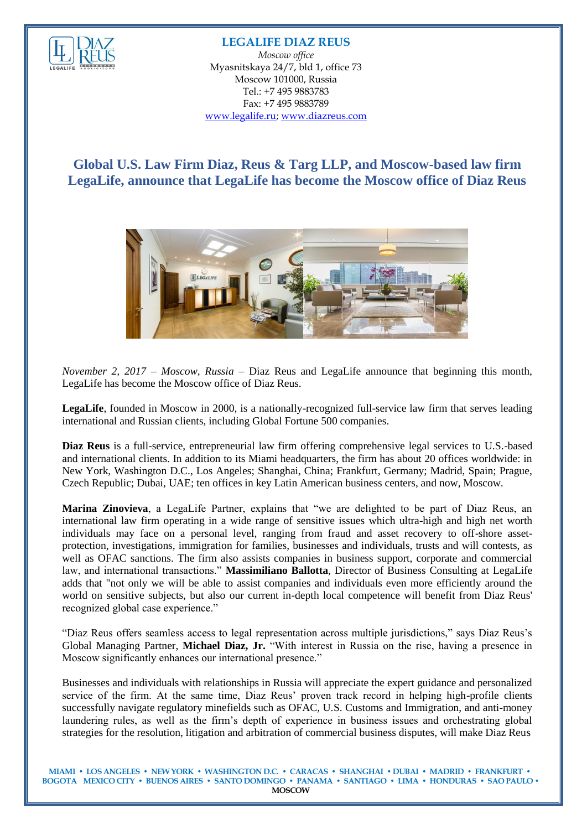

## **LEGALIFE DIAZ REUS**

*Moscow office*  Myasnitskaya 24/7, bld 1, office 73 Moscow 101000, Russia Tel.: +7 495 9883783 Fax: +7 495 9883789 [www.legalife.ru;](http://www.legalife.ru/) [www.diazreus.com](http://www.diazreus.com/)

**Global U.S. Law Firm Diaz, Reus & Targ LLP, and Moscow-based law firm LegaLife, announce that LegaLife has become the Moscow office of Diaz Reus**



*November 2, 2017 – Moscow, Russia* – Diaz Reus and LegaLife announce that beginning this month, LegaLife has become the Moscow office of Diaz Reus.

**LegaLife**, founded in Moscow in 2000, is a nationally-recognized full-service law firm that serves leading international and Russian clients, including Global Fortune 500 companies.

**Diaz Reus** is a full-service, entrepreneurial law firm offering comprehensive legal services to U.S.-based and international clients. In addition to its Miami headquarters, the firm has about 20 offices worldwide: in New York, Washington D.C., Los Angeles; Shanghai, China; Frankfurt, Germany; Madrid, Spain; Prague, Czech Republic; Dubai, UAE; ten offices in key Latin American business centers, and now, Moscow.

**Marina Zinovieva**, a LegaLife Partner, explains that "we are delighted to be part of Diaz Reus, an international law firm operating in a wide range of sensitive issues which ultra-high and high net worth individuals may face on a personal level, ranging from fraud and asset recovery to off-shore assetprotection, investigations, immigration for families, businesses and individuals, trusts and will contests, as well as OFAC sanctions. The firm also assists companies in business support, corporate and commercial law, and international transactions." **Massimiliano Ballotta**, Director of Business Consulting at LegaLife adds that "not only we will be able to assist companies and individuals even more efficiently around the world on sensitive subjects, but also our current in-depth local competence will benefit from Diaz Reus' recognized global case experience."

"Diaz Reus offers seamless access to legal representation across multiple jurisdictions," says Diaz Reus's Global Managing Partner, **Michael Diaz, Jr.** "With interest in Russia on the rise, having a presence in Moscow significantly enhances our international presence."

Businesses and individuals with relationships in Russia will appreciate the expert guidance and personalized service of the firm. At the same time, Diaz Reus' proven track record in helping high-profile clients successfully navigate regulatory minefields such as OFAC, U.S. Customs and Immigration, and anti-money laundering rules, as well as the firm's depth of experience in business issues and orchestrating global strategies for the resolution, litigation and arbitration of commercial business disputes, will make Diaz Reus

MIAMI • LOS ANGELES • NEW YORK • WASHINGTON D.C. • CARACAS • SHANGHAI • DUBAI • MADRID • FRANKFURT • **BOGOTA MEXICO CITY • BUENOS AIRES • SANTO DOMINGO • PANAMA • SANTIAGO • LIMA • HONDURAS • SAO PAULO • MOSCOW**